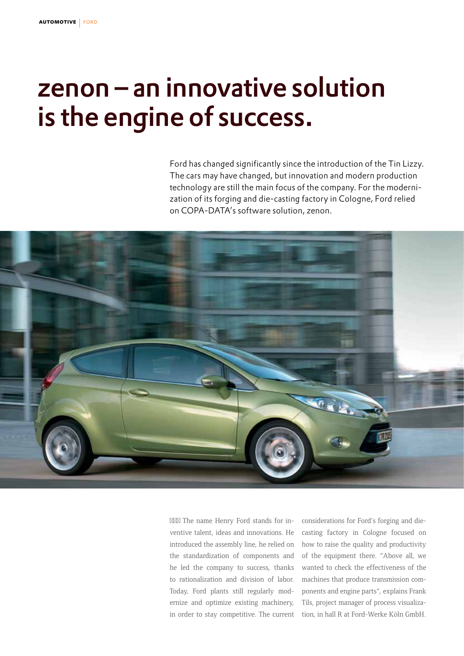## zenon – an innovative solution is the engine of success.

Ford has changed significantly since the introduction of the Tin Lizzy. The cars may have changed, but innovation and modern production technology are still the main focus of the company. For the modernization of its forging and die-casting factory in Cologne, Ford relied on COPA-DATA's software solution, zenon.



The name Henry Ford stands for inventive talent, ideas and innovations. He introduced the assembly line, he relied on the standardization of components and he led the company to success, thanks to rationalization and division of labor. Today, Ford plants still regularly modernize and optimize existing machinery, in order to stay competitive. The current

considerations for Ford's forging and diecasting factory in Cologne focused on how to raise the quality and productivity of the equipment there. "Above all, we wanted to check the effectiveness of the machines that produce transmission components and engine parts", explains Frank Tils, project manager of process visualization, in hall R at Ford-Werke Köln GmbH.